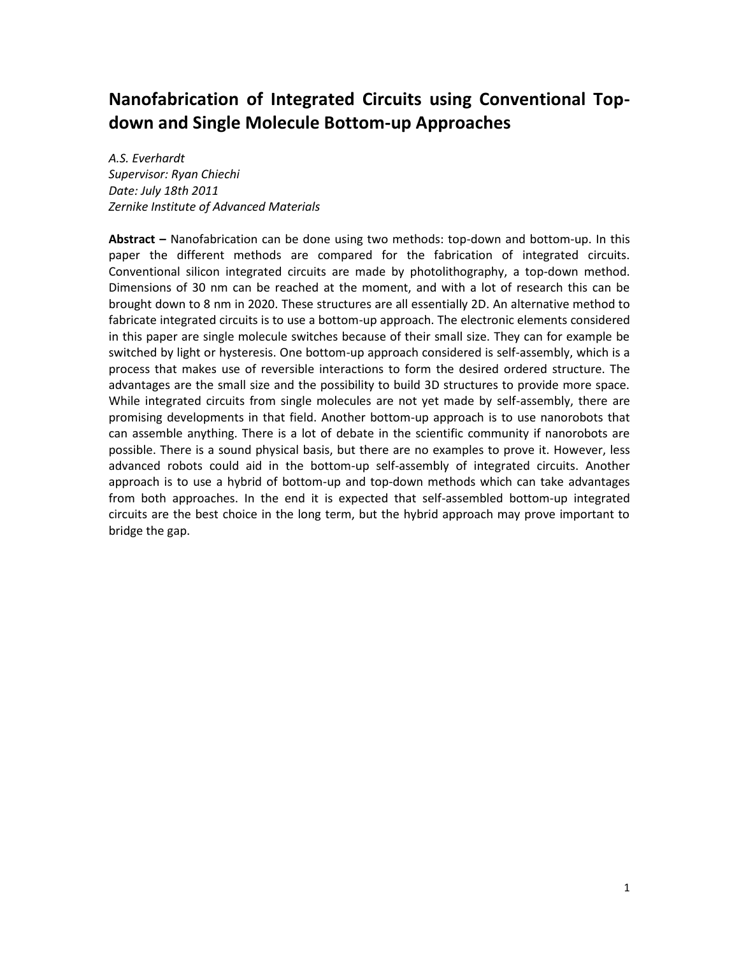# **Nanofabrication of Integrated Circuits using Conventional Topdown and Single Molecule Bottom-up Approaches**

*A.S. Everhardt Supervisor: Ryan Chiechi Date: July 18th 2011 Zernike Institute of Advanced Materials*

**Abstract –** Nanofabrication can be done using two methods: top-down and bottom-up. In this paper the different methods are compared for the fabrication of integrated circuits. Conventional silicon integrated circuits are made by photolithography, a top-down method. Dimensions of 30 nm can be reached at the moment, and with a lot of research this can be brought down to 8 nm in 2020. These structures are all essentially 2D. An alternative method to fabricate integrated circuits is to use a bottom-up approach. The electronic elements considered in this paper are single molecule switches because of their small size. They can for example be switched by light or hysteresis. One bottom-up approach considered is self-assembly, which is a process that makes use of reversible interactions to form the desired ordered structure. The advantages are the small size and the possibility to build 3D structures to provide more space. While integrated circuits from single molecules are not yet made by self-assembly, there are promising developments in that field. Another bottom-up approach is to use nanorobots that can assemble anything. There is a lot of debate in the scientific community if nanorobots are possible. There is a sound physical basis, but there are no examples to prove it. However, less advanced robots could aid in the bottom-up self-assembly of integrated circuits. Another approach is to use a hybrid of bottom-up and top-down methods which can take advantages from both approaches. In the end it is expected that self-assembled bottom-up integrated circuits are the best choice in the long term, but the hybrid approach may prove important to bridge the gap.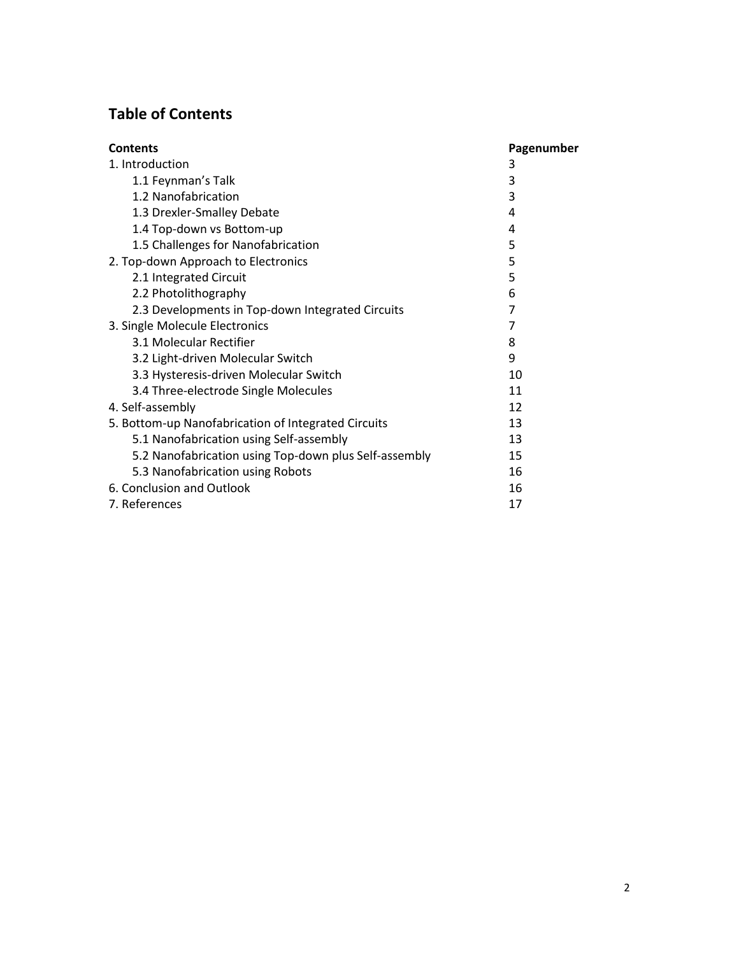# **Table of Contents**

| <b>Contents</b>                                       | Pagenumber |
|-------------------------------------------------------|------------|
| 1. Introduction                                       | 3          |
| 1.1 Feynman's Talk                                    | 3          |
| 1.2 Nanofabrication                                   | 3          |
| 1.3 Drexler-Smalley Debate                            | 4          |
| 1.4 Top-down vs Bottom-up                             | 4          |
| 1.5 Challenges for Nanofabrication                    | 5          |
| 2. Top-down Approach to Electronics                   | 5          |
| 2.1 Integrated Circuit                                | 5          |
| 2.2 Photolithography                                  | 6          |
| 2.3 Developments in Top-down Integrated Circuits      | 7          |
| 3. Single Molecule Electronics                        | 7          |
| 3.1 Molecular Rectifier                               | 8          |
| 3.2 Light-driven Molecular Switch                     | 9          |
| 3.3 Hysteresis-driven Molecular Switch                | 10         |
| 3.4 Three-electrode Single Molecules                  | 11         |
| 4. Self-assembly                                      | 12         |
| 5. Bottom-up Nanofabrication of Integrated Circuits   | 13         |
| 5.1 Nanofabrication using Self-assembly               | 13         |
| 5.2 Nanofabrication using Top-down plus Self-assembly | 15         |
| 5.3 Nanofabrication using Robots                      | 16         |
| 6. Conclusion and Outlook                             | 16         |
| 7. References                                         | 17         |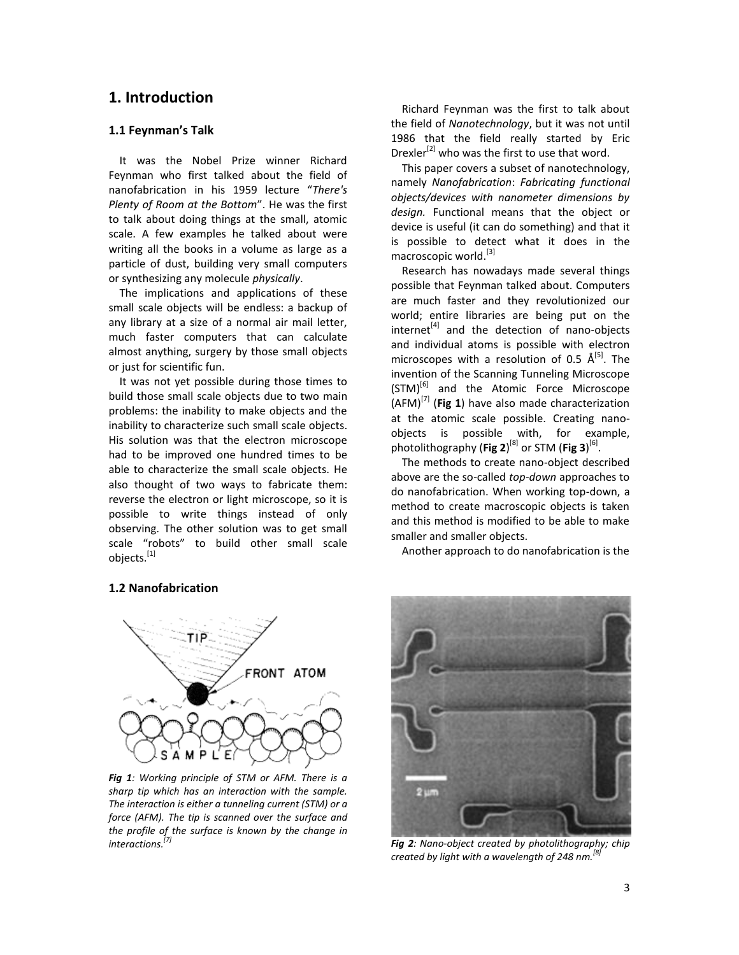### **1. Introduction**

#### **1.1 Feynman's Talk**

It was the Nobel Prize winner Richard Feynman who first talked about the field of nanofabrication in his 1959 lecture "*There's Plenty of Room at the Bottom*". He was the first to talk about doing things at the small, atomic scale. A few examples he talked about were writing all the books in a volume as large as a particle of dust, building very small computers or synthesizing any molecule *physically*.

The implications and applications of these small scale objects will be endless: a backup of any library at a size of a normal air mail letter, much faster computers that can calculate almost anything, surgery by those small objects or just for scientific fun.

It was not yet possible during those times to build those small scale objects due to two main problems: the inability to make objects and the inability to characterize such small scale objects. His solution was that the electron microscope had to be improved one hundred times to be able to characterize the small scale objects. He also thought of two ways to fabricate them: reverse the electron or light microscope, so it is possible to write things instead of only observing. The other solution was to get small scale "robots" to build other small scale objects.<sup>[1]</sup>

Richard Feynman was the first to talk about the field of *Nanotechnology*, but it was not until 1986 that the field really started by Eric Drexler<sup>[2]</sup> who was the first to use that word.

This paper covers a subset of nanotechnology, namely *Nanofabrication*: *Fabricating functional objects/devices with nanometer dimensions by design.* Functional means that the object or device is useful (it can do something) and that it is possible to detect what it does in the macroscopic world.<sup>[3]</sup>

Research has nowadays made several things possible that Feynman talked about. Computers are much faster and they revolutionized our world; entire libraries are being put on the internet<sup>[4]</sup> and the detection of nano-objects and individual atoms is possible with electron microscopes with a resolution of 0.5 Å<sup>[5]</sup>. The invention of the Scanning Tunneling Microscope (STM)<sup>[6]</sup> and the Atomic Force Microscope (AFM)[7] (**Fig 1**) have also made characterization at the atomic scale possible. Creating nanoobjects is possible with, for example, photolithography (**Fig 2**)<sup>[8]</sup> or STM (**Fig 3**)<sup>[6]</sup>.

The methods to create nano-object described above are the so-called *top-down* approaches to do nanofabrication. When working top-down, a method to create macroscopic objects is taken and this method is modified to be able to make smaller and smaller objects.

Another approach to do nanofabrication is the

#### **1.2 Nanofabrication**



*Fig 1: Working principle of STM or AFM. There is a sharp tip which has an interaction with the sample. The interaction is either a tunneling current (STM) or a force (AFM). The tip is scanned over the surface and the profile of the surface is known by the change in interactions. [7]*



*Fig 2: Nano-object created by photolithography; chip created by light with a wavelength of 248 nm.[8]*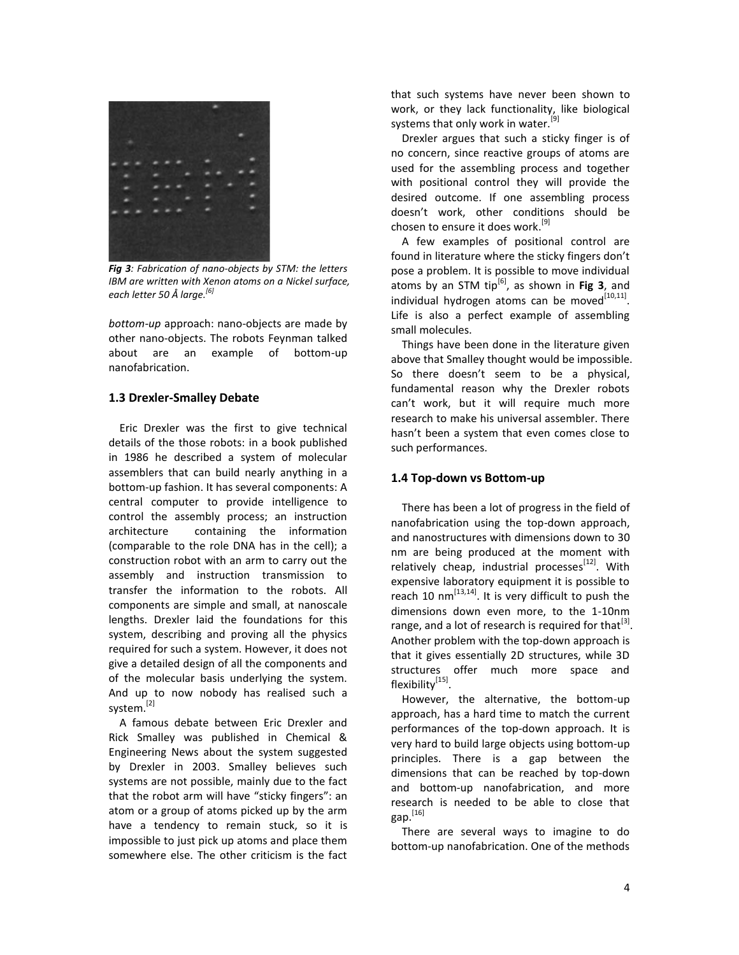

*Fig 3: Fabrication of nano-objects by STM: the letters IBM are written with Xenon atoms on a Nickel surface, each letter 50 Å large.[6]*

*bottom-up* approach: nano-objects are made by other nano-objects. The robots Feynman talked about are an example of bottom-up nanofabrication.

#### **1.3 Drexler-Smalley Debate**

Eric Drexler was the first to give technical details of the those robots: in a book published in 1986 he described a system of molecular assemblers that can build nearly anything in a bottom-up fashion. It has several components: A central computer to provide intelligence to control the assembly process; an instruction architecture containing the information (comparable to the role DNA has in the cell); a construction robot with an arm to carry out the assembly and instruction transmission to transfer the information to the robots. All components are simple and small, at nanoscale lengths. Drexler laid the foundations for this system, describing and proving all the physics required for such a system. However, it does not give a detailed design of all the components and of the molecular basis underlying the system. And up to now nobody has realised such a system.<sup>[2]</sup>

A famous debate between Eric Drexler and Rick Smalley was published in Chemical & Engineering News about the system suggested by Drexler in 2003. Smalley believes such systems are not possible, mainly due to the fact that the robot arm will have "sticky fingers": an atom or a group of atoms picked up by the arm have a tendency to remain stuck, so it is impossible to just pick up atoms and place them somewhere else. The other criticism is the fact that such systems have never been shown to work, or they lack functionality, like biological systems that only work in water.<sup>[9]</sup>

Drexler argues that such a sticky finger is of no concern, since reactive groups of atoms are used for the assembling process and together with positional control they will provide the desired outcome. If one assembling process doesn't work, other conditions should be chosen to ensure it does work.<sup>[9]</sup>

A few examples of positional control are found in literature where the sticky fingers don't pose a problem. It is possible to move individual atoms by an STM tip<sup>[6]</sup>, as shown in Fig 3, and individual hydrogen atoms can be moved $^{[10,11]}$ . Life is also a perfect example of assembling small molecules.

Things have been done in the literature given above that Smalley thought would be impossible. So there doesn't seem to be a physical, fundamental reason why the Drexler robots can't work, but it will require much more research to make his universal assembler. There hasn't been a system that even comes close to such performances.

#### **1.4 Top-down vs Bottom-up**

There has been a lot of progress in the field of nanofabrication using the top-down approach, and nanostructures with dimensions down to 30 nm are being produced at the moment with relatively cheap, industrial processes<sup>[12]</sup>. With expensive laboratory equipment it is possible to reach 10 nm $^{[13,14]}$ . It is very difficult to push the dimensions down even more, to the 1-10nm range, and a lot of research is required for that $^{[3]}$ . Another problem with the top-down approach is that it gives essentially 2D structures, while 3D structures offer much more space and flexibility<sup>[15]</sup>.

However, the alternative, the bottom-up approach, has a hard time to match the current performances of the top-down approach. It is very hard to build large objects using bottom-up principles. There is a gap between the dimensions that can be reached by top-down and bottom-up nanofabrication, and more research is needed to be able to close that gap. [16]

There are several ways to imagine to do bottom-up nanofabrication. One of the methods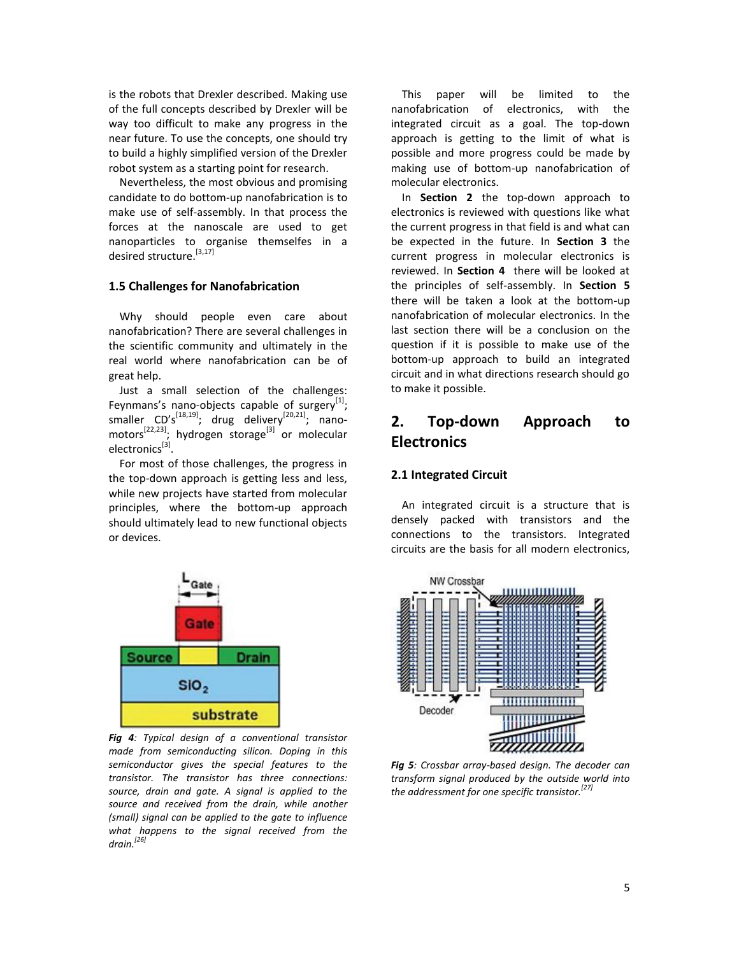is the robots that Drexler described. Making use of the full concepts described by Drexler will be way too difficult to make any progress in the near future. To use the concepts, one should try to build a highly simplified version of the Drexler robot system as a starting point for research.

Nevertheless, the most obvious and promising candidate to do bottom-up nanofabrication is to make use of self-assembly. In that process the forces at the nanoscale are used to get nanoparticles to organise themselfes in a desired structure.<sup>[3,17]</sup>

#### **1.5 Challenges for Nanofabrication**

Why should people even care about nanofabrication? There are several challenges in the scientific community and ultimately in the real world where nanofabrication can be of great help.

Just a small selection of the challenges: Feynmans's nano-objects capable of surgery $^{[1]}$ ; smaller CD's<sup>[18,19]</sup>; drug delivery<sup>[20,21]</sup>; nanomotors<sup>[22,23]</sup>; hydrogen storage<sup>[3]</sup> or molecular electronics<sup>[3]</sup>.

For most of those challenges, the progress in the top-down approach is getting less and less, while new projects have started from molecular principles, where the bottom-up approach should ultimately lead to new functional objects or devices.



*Fig 4: Typical design of a conventional transistor made from semiconducting silicon. Doping in this semiconductor gives the special features to the transistor. The transistor has three connections: source, drain and gate. A signal is applied to the source and received from the drain, while another (small) signal can be applied to the gate to influence what happens to the signal received from the drain.[26]*

This paper will be limited to the nanofabrication of electronics, with the integrated circuit as a goal. The top-down approach is getting to the limit of what is possible and more progress could be made by making use of bottom-up nanofabrication of molecular electronics.

In **Section 2** the top-down approach to electronics is reviewed with questions like what the current progress in that field is and what can be expected in the future. In **Section 3** the current progress in molecular electronics is reviewed. In **Section 4** there will be looked at the principles of self-assembly. In **Section 5** there will be taken a look at the bottom-up nanofabrication of molecular electronics. In the last section there will be a conclusion on the question if it is possible to make use of the bottom-up approach to build an integrated circuit and in what directions research should go to make it possible.

# **2. Top-down Approach to Electronics**

### **2.1 Integrated Circuit**

An integrated circuit is a structure that is densely packed with transistors and the connections to the transistors. Integrated circuits are the basis for all modern electronics,



*Fig 5: Crossbar array-based design. The decoder can transform signal produced by the outside world into the addressment for one specific transistor.[27]*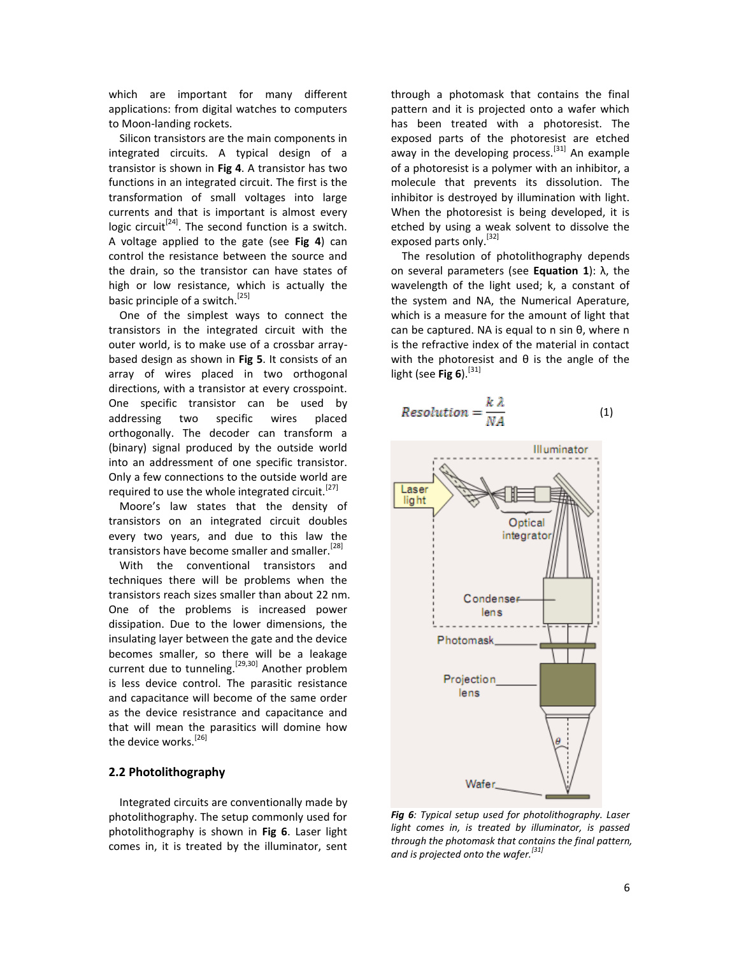which are important for many different applications: from digital watches to computers to Moon-landing rockets.

Silicon transistors are the main components in integrated circuits. A typical design of a transistor is shown in **Fig 4**. A transistor has two functions in an integrated circuit. The first is the transformation of small voltages into large currents and that is important is almost every logic circuit<sup>[24]</sup>. The second function is a switch. A voltage applied to the gate (see **Fig 4**) can control the resistance between the source and the drain, so the transistor can have states of high or low resistance, which is actually the basic principle of a switch.<sup>[25]</sup>

One of the simplest ways to connect the transistors in the integrated circuit with the outer world, is to make use of a crossbar arraybased design as shown in **Fig 5**. It consists of an array of wires placed in two orthogonal directions, with a transistor at every crosspoint. One specific transistor can be used by addressing two specific wires placed orthogonally. The decoder can transform a (binary) signal produced by the outside world into an addressment of one specific transistor. Only a few connections to the outside world are required to use the whole integrated circuit.<sup>[27]</sup>

Moore's law states that the density of transistors on an integrated circuit doubles every two years, and due to this law the transistors have become smaller and smaller.<sup>[28]</sup>

With the conventional transistors and techniques there will be problems when the transistors reach sizes smaller than about 22 nm. One of the problems is increased power dissipation. Due to the lower dimensions, the insulating layer between the gate and the device becomes smaller, so there will be a leakage current due to tunneling.<sup>[29,30]</sup> Another problem is less device control. The parasitic resistance and capacitance will become of the same order as the device resistrance and capacitance and that will mean the parasitics will domine how the device works.<sup>[26]</sup>

#### **2.2 Photolithography**

Integrated circuits are conventionally made by photolithography. The setup commonly used for photolithography is shown in **Fig 6**. Laser light comes in, it is treated by the illuminator, sent through a photomask that contains the final pattern and it is projected onto a wafer which has been treated with a photoresist. The exposed parts of the photoresist are etched away in the developing process.<sup>[31]</sup> An example of a photoresist is a polymer with an inhibitor, a molecule that prevents its dissolution. The inhibitor is destroyed by illumination with light. When the photoresist is being developed, it is etched by using a weak solvent to dissolve the exposed parts only.<sup>[32]</sup>

The resolution of photolithography depends on several parameters (see **Equation 1**): λ, the wavelength of the light used; k, a constant of the system and NA, the Numerical Aperature, which is a measure for the amount of light that can be captured. NA is equal to n sin θ, where n is the refractive index of the material in contact with the photoresist and  $\theta$  is the angle of the light (see Fig 6).<sup>[31]</sup>

$$
Resolution = \frac{k \lambda}{NA}
$$
 (1)



*Fig 6: Typical setup used for photolithography. Laser light comes in, is treated by illuminator, is passed through the photomask that contains the final pattern, and is projected onto the wafer.[31]*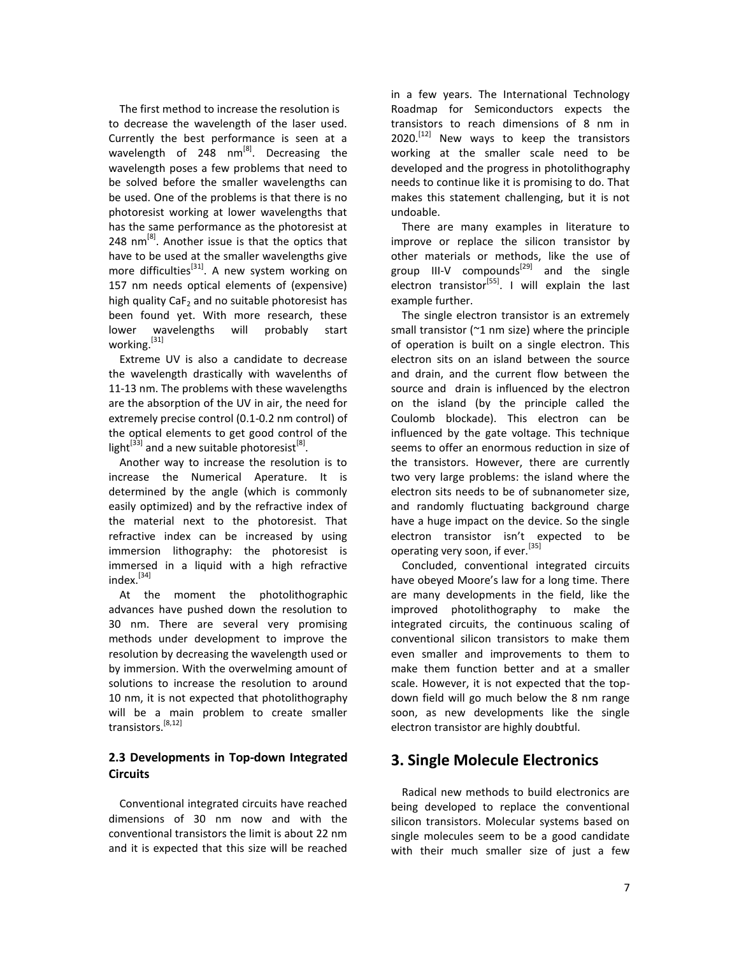The first method to increase the resolution is to decrease the wavelength of the laser used. Currently the best performance is seen at a wavelength of 248  $nm^{[8]}$ . Decreasing the wavelength poses a few problems that need to be solved before the smaller wavelengths can be used. One of the problems is that there is no photoresist working at lower wavelengths that has the same performance as the photoresist at 248 nm<sup>[8]</sup>. Another issue is that the optics that have to be used at the smaller wavelengths give more difficulties<sup>[31]</sup>. A new system working on 157 nm needs optical elements of (expensive) high quality  $CaF<sub>2</sub>$  and no suitable photoresist has been found yet. With more research, these lower wavelengths will probably start working.<sup>[31]</sup>

Extreme UV is also a candidate to decrease the wavelength drastically with wavelenths of 11-13 nm. The problems with these wavelengths are the absorption of the UV in air, the need for extremely precise control (0.1-0.2 nm control) of the optical elements to get good control of the light $^{[33]}$  and a new suitable photoresist $^{[8]}$ .

Another way to increase the resolution is to increase the Numerical Aperature. It is determined by the angle (which is commonly easily optimized) and by the refractive index of the material next to the photoresist. That refractive index can be increased by using immersion lithography: the photoresist is immersed in a liquid with a high refractive index.<sup>[34]</sup>

At the moment the photolithographic advances have pushed down the resolution to 30 nm. There are several very promising methods under development to improve the resolution by decreasing the wavelength used or by immersion. With the overwelming amount of solutions to increase the resolution to around 10 nm, it is not expected that photolithography will be a main problem to create smaller transistors.[8,12]

### **2.3 Developments in Top-down Integrated Circuits**

Conventional integrated circuits have reached dimensions of 30 nm now and with the conventional transistors the limit is about 22 nm and it is expected that this size will be reached in a few years. The International Technology Roadmap for Semiconductors expects the transistors to reach dimensions of 8 nm in  $2020$ .<sup>[12]</sup> New ways to keep the transistors working at the smaller scale need to be developed and the progress in photolithography needs to continue like it is promising to do. That makes this statement challenging, but it is not undoable.

There are many examples in literature to improve or replace the silicon transistor by other materials or methods, like the use of group III-V compounds<sup>[29]</sup> and the single electron transistor<sup>[55]</sup>. I will explain the last example further.

The single electron transistor is an extremely small transistor (~1 nm size) where the principle of operation is built on a single electron. This electron sits on an island between the source and drain, and the current flow between the source and drain is influenced by the electron on the island (by the principle called the Coulomb blockade). This electron can be influenced by the gate voltage. This technique seems to offer an enormous reduction in size of the transistors. However, there are currently two very large problems: the island where the electron sits needs to be of subnanometer size, and randomly fluctuating background charge have a huge impact on the device. So the single electron transistor isn't expected to be operating very soon, if ever.<sup>[35]</sup>

Concluded, conventional integrated circuits have obeyed Moore's law for a long time. There are many developments in the field, like the improved photolithography to make the integrated circuits, the continuous scaling of conventional silicon transistors to make them even smaller and improvements to them to make them function better and at a smaller scale. However, it is not expected that the topdown field will go much below the 8 nm range soon, as new developments like the single electron transistor are highly doubtful.

# **3. Single Molecule Electronics**

Radical new methods to build electronics are being developed to replace the conventional silicon transistors. Molecular systems based on single molecules seem to be a good candidate with their much smaller size of just a few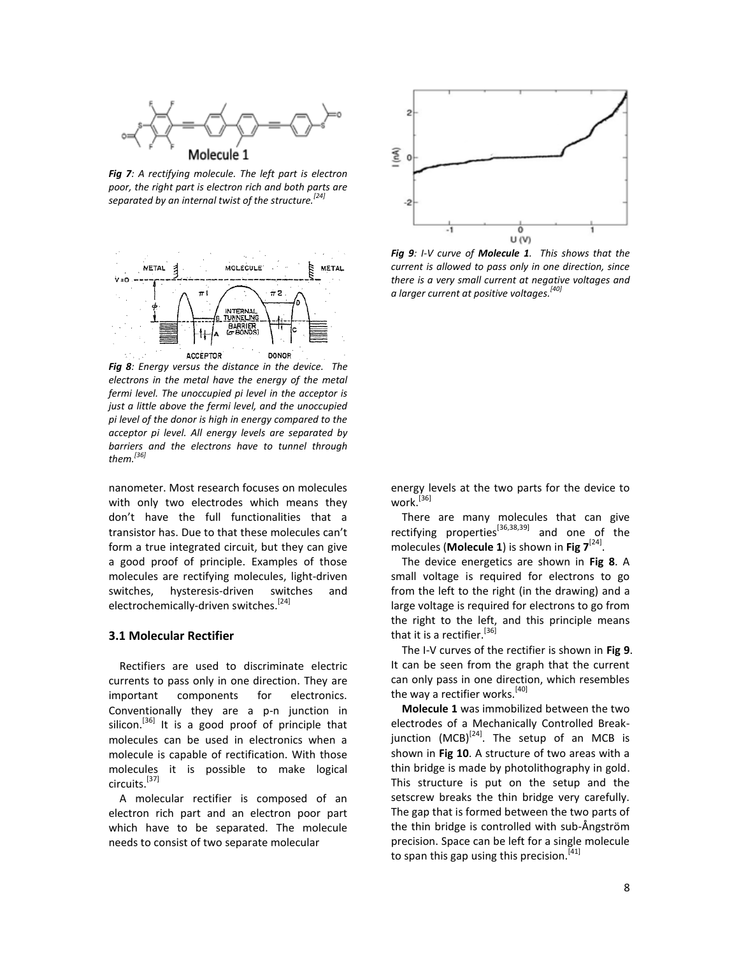

*Fig 7: A rectifying molecule. The left part is electron poor, the right part is electron rich and both parts are separated by an internal twist of the structure.[24]*



*Fig 8: Energy versus the distance in the device. The electrons in the metal have the energy of the metal fermi level. The unoccupied pi level in the acceptor is just a little above the fermi level, and the unoccupied pi level of the donor is high in energy compared to the acceptor pi level. All energy levels are separated by barriers and the electrons have to tunnel through them.[36]*

nanometer. Most research focuses on molecules with only two electrodes which means they don't have the full functionalities that a transistor has. Due to that these molecules can't form a true integrated circuit, but they can give a good proof of principle. Examples of those molecules are rectifying molecules, light-driven switches, hysteresis-driven switches and electrochemically-driven switches.<sup>[24]</sup>

#### **3.1 Molecular Rectifier**

Rectifiers are used to discriminate electric currents to pass only in one direction. They are important components for electronics. Conventionally they are a p-n junction in silicon.<sup>[36]</sup> It is a good proof of principle that molecules can be used in electronics when a molecule is capable of rectification. With those molecules it is possible to make logical circuits.[37]

A molecular rectifier is composed of an electron rich part and an electron poor part which have to be separated. The molecule needs to consist of two separate molecular



*Fig 9: I-V curve of Molecule 1. This shows that the current is allowed to pass only in one direction, since there is a very small current at negative voltages and a larger current at positive voltages.[40]*

energy levels at the two parts for the device to work.[36]

There are many molecules that can give rectifying properties<sup>[36,38,39]</sup> and one of the molecules (**Molecule 1**) is shown in **Fig 7**[24] .

The device energetics are shown in **Fig 8**. A small voltage is required for electrons to go from the left to the right (in the drawing) and a large voltage is required for electrons to go from the right to the left, and this principle means that it is a rectifier.<sup>[36]</sup>

The I-V curves of the rectifier is shown in **Fig 9**. It can be seen from the graph that the current can only pass in one direction, which resembles the way a rectifier works.<sup>[40]</sup>

**Molecule 1** was immobilized between the two electrodes of a Mechanically Controlled Breakjunction (MCB)<sup>[24]</sup>. The setup of an MCB is shown in **Fig 10**. A structure of two areas with a thin bridge is made by photolithography in gold. This structure is put on the setup and the setscrew breaks the thin bridge very carefully. The gap that is formed between the two parts of the thin bridge is controlled with sub-Ångström precision. Space can be left for a single molecule to span this gap using this precision.<sup>[41]</sup>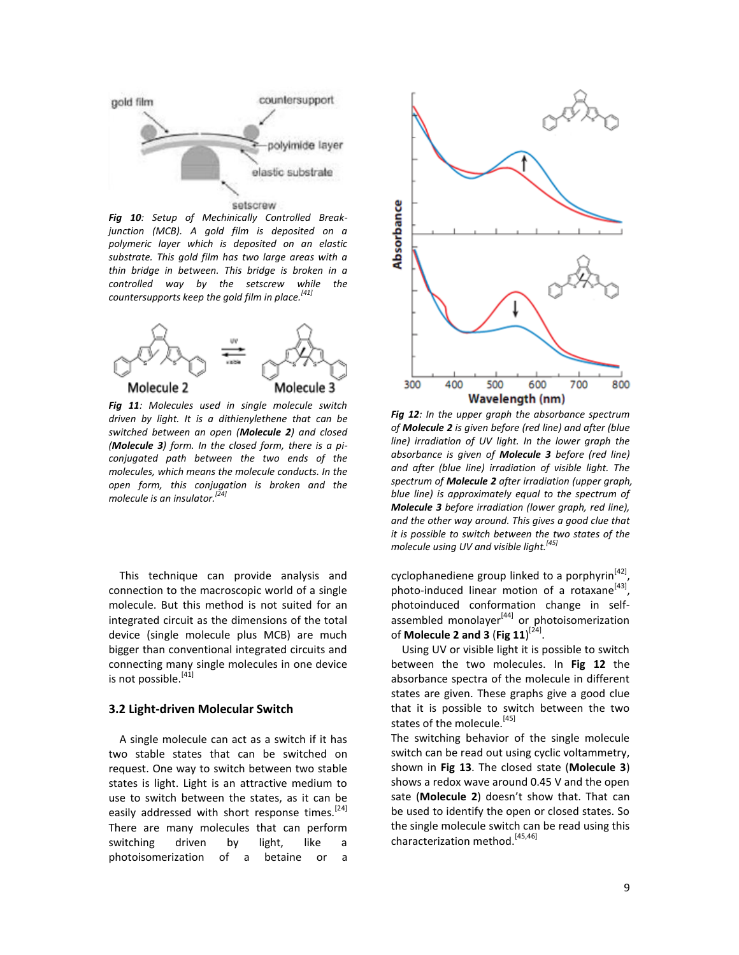

*Fig 10: Setup of Mechinically Controlled Breakjunction (MCB). A gold film is deposited on a polymeric layer which is deposited on an elastic substrate. This gold film has two large areas with a thin bridge in between. This bridge is broken in a controlled way by the setscrew while the countersupports keep the gold film in place.[41]*



*Fig 11: Molecules used in single molecule switch driven by light. It is a dithienylethene that can be switched between an open (Molecule 2) and closed (Molecule 3) form. In the closed form, there is a piconjugated path between the two ends of the molecules, which means the molecule conducts. In the open form, this conjugation is broken and the molecule is an insulator.[24]*

This technique can provide analysis and connection to the macroscopic world of a single molecule. But this method is not suited for an integrated circuit as the dimensions of the total device (single molecule plus MCB) are much bigger than conventional integrated circuits and connecting many single molecules in one device is not possible.<sup>[41]</sup>

#### **3.2 Light-driven Molecular Switch**

A single molecule can act as a switch if it has two stable states that can be switched on request. One way to switch between two stable states is light. Light is an attractive medium to use to switch between the states, as it can be easily addressed with short response times.<sup>[24]</sup> There are many molecules that can perform switching driven by light, like a photoisomerization of a betaine or a



*Fig 12: In the upper graph the absorbance spectrum of Molecule 2 is given before (red line) and after (blue line) irradiation of UV light. In the lower graph the absorbance is given of Molecule 3 before (red line) and after (blue line) irradiation of visible light. The spectrum of Molecule 2 after irradiation (upper graph, blue line) is approximately equal to the spectrum of Molecule 3 before irradiation (lower graph, red line), and the other way around. This gives a good clue that it is possible to switch between the two states of the molecule using UV and visible light.[45]*

cyclophanediene group linked to a porphyrin<sup>[42]</sup>, photo-induced linear motion of a rotaxane<sup>[43]</sup>, photoinduced conformation change in selfassembled monolayer<sup>[44]</sup> or photoisomerization of **Molecule 2 and 3** (**Fig 11**) [24] .

Using UV or visible light it is possible to switch between the two molecules. In **Fig 12** the absorbance spectra of the molecule in different states are given. These graphs give a good clue that it is possible to switch between the two states of the molecule.<sup>[45]</sup>

The switching behavior of the single molecule switch can be read out using cyclic voltammetry, shown in **Fig 13**. The closed state (**Molecule 3**) shows a redox wave around 0.45 V and the open sate (**Molecule 2**) doesn't show that. That can be used to identify the open or closed states. So the single molecule switch can be read using this characterization method.<sup>[45,46]</sup>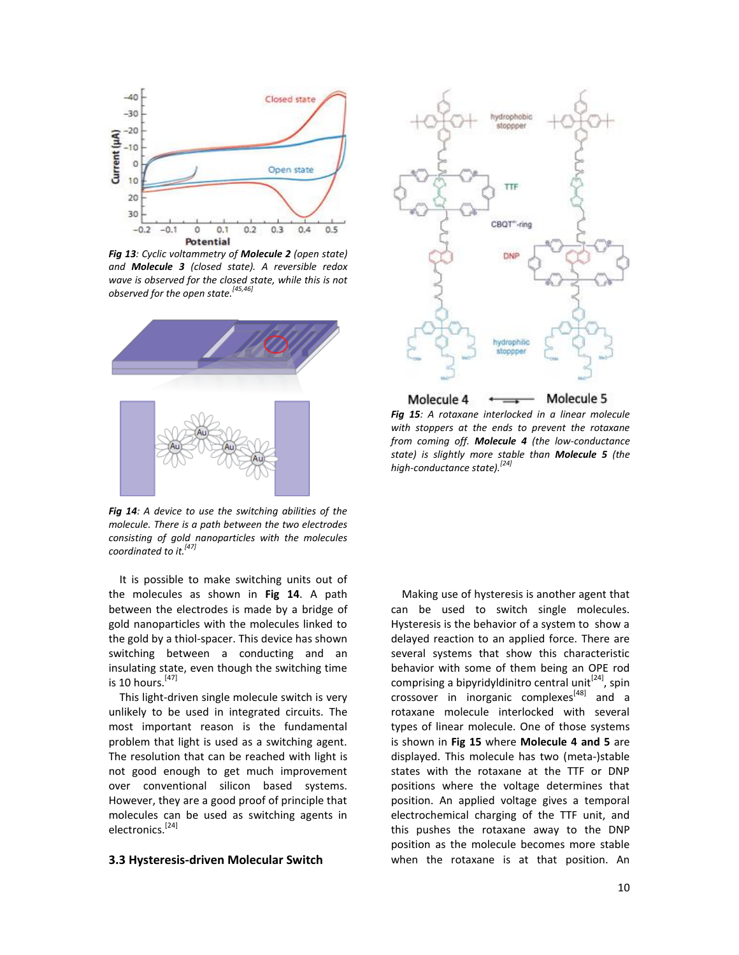

*Fig 13: Cyclic voltammetry of Molecule 2 (open state) and Molecule 3 (closed state). A reversible redox wave is observed for the closed state, while this is not observed for the open state.[45,46]*



*Fig 14: A device to use the switching abilities of the molecule. There is a path between the two electrodes consisting of gold nanoparticles with the molecules coordinated to it.[47]*

It is possible to make switching units out of the molecules as shown in **Fig 14**. A path between the electrodes is made by a bridge of gold nanoparticles with the molecules linked to the gold by a thiol-spacer. This device has shown switching between a conducting and an insulating state, even though the switching time is 10 hours.  $[47]$ 

This light-driven single molecule switch is very unlikely to be used in integrated circuits. The most important reason is the fundamental problem that light is used as a switching agent. The resolution that can be reached with light is not good enough to get much improvement over conventional silicon based systems. However, they are a good proof of principle that molecules can be used as switching agents in electronics.[24]

#### **3.3 Hysteresis-driven Molecular Switch**



*Fig 15: A rotaxane interlocked in a linear molecule with stoppers at the ends to prevent the rotaxane from coming off. Molecule 4 (the low-conductance state) is slightly more stable than Molecule 5 (the high-conductance state).[24]*

Making use of hysteresis is another agent that can be used to switch single molecules. Hysteresis is the behavior of a system to show a delayed reaction to an applied force. There are several systems that show this characteristic behavior with some of them being an OPE rod comprising a bipyridyldinitro central unit<sup>[24]</sup>, spin crossover in inorganic complexes<sup>[48]</sup> and a rotaxane molecule interlocked with several types of linear molecule. One of those systems is shown in **Fig 15** where **Molecule 4 and 5** are displayed. This molecule has two (meta-)stable states with the rotaxane at the TTF or DNP positions where the voltage determines that position. An applied voltage gives a temporal electrochemical charging of the TTF unit, and this pushes the rotaxane away to the DNP position as the molecule becomes more stable when the rotaxane is at that position. An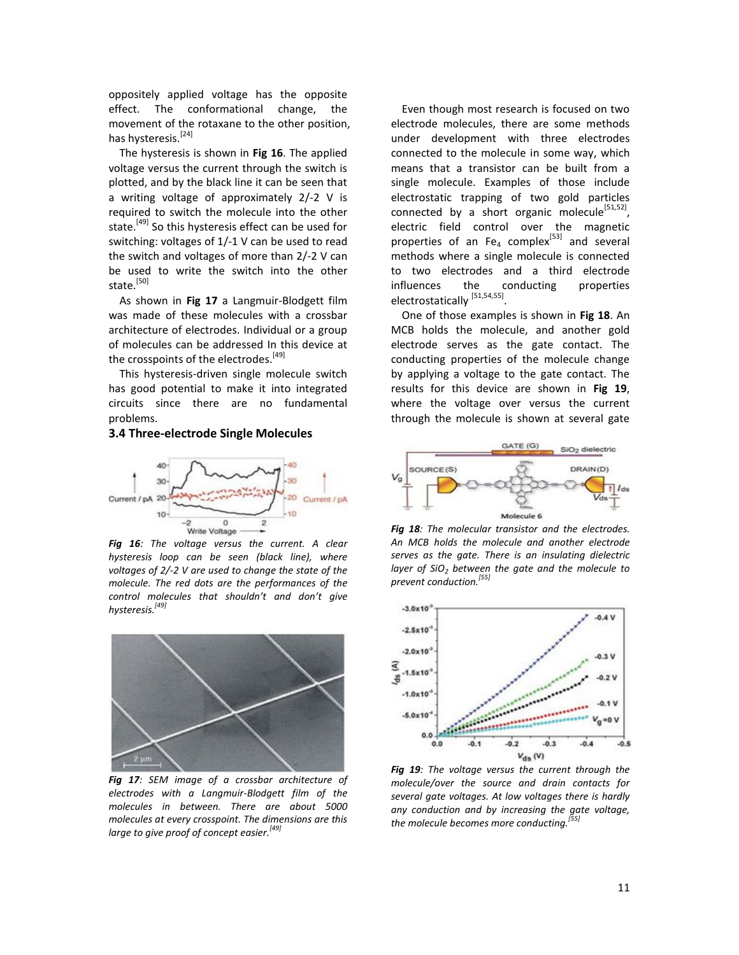oppositely applied voltage has the opposite effect. The conformational change, the movement of the rotaxane to the other position, has hysteresis.<sup>[24]</sup>

The hysteresis is shown in **Fig 16**. The applied voltage versus the current through the switch is plotted, and by the black line it can be seen that a writing voltage of approximately 2/-2 V is required to switch the molecule into the other state.<sup>[49]</sup> So this hysteresis effect can be used for switching: voltages of 1/-1 V can be used to read the switch and voltages of more than 2/-2 V can be used to write the switch into the other state.<sup>[50]</sup>

As shown in **Fig 17** a Langmuir-Blodgett film was made of these molecules with a crossbar architecture of electrodes. Individual or a group of molecules can be addressed In this device at the crosspoints of the electrodes.<sup>[49]</sup>

This hysteresis-driven single molecule switch has good potential to make it into integrated circuits since there are no fundamental problems.

#### **3.4 Three-electrode Single Molecules**



*Fig 16: The voltage versus the current. A clear hysteresis loop can be seen (black line), where voltages of 2/-2 V are used to change the state of the molecule. The red dots are the performances of the control molecules that shouldn't and don't give hysteresis.[49]*



*Fig 17: SEM image of a crossbar architecture of electrodes with a Langmuir-Blodgett film of the molecules in between. There are about 5000 molecules at every crosspoint. The dimensions are this large to give proof of concept easier.[49]*

Even though most research is focused on two electrode molecules, there are some methods under development with three electrodes connected to the molecule in some way, which means that a transistor can be built from a single molecule. Examples of those include electrostatic trapping of two gold particles connected by a short organic molecule<sup>[51,52]</sup>, electric field control over the magnetic properties of an Fe<sub>4</sub> complex<sup>[53]</sup> and several methods where a single molecule is connected to two electrodes and a third electrode influences the conducting properties electrostatically <sup>[51,54,55]</sup>.

One of those examples is shown in **Fig 18**. An MCB holds the molecule, and another gold electrode serves as the gate contact. The conducting properties of the molecule change by applying a voltage to the gate contact. The results for this device are shown in **Fig 19**, where the voltage over versus the current through the molecule is shown at several gate



*Fig 18: The molecular transistor and the electrodes. An MCB holds the molecule and another electrode serves as the gate. There is an insulating dielectric layer of SiO<sup>2</sup> between the gate and the molecule to prevent conduction.[55]*



*Fig 19: The voltage versus the current through the molecule/over the source and drain contacts for several gate voltages. At low voltages there is hardly any conduction and by increasing the gate voltage, the molecule becomes more conducting.[55]*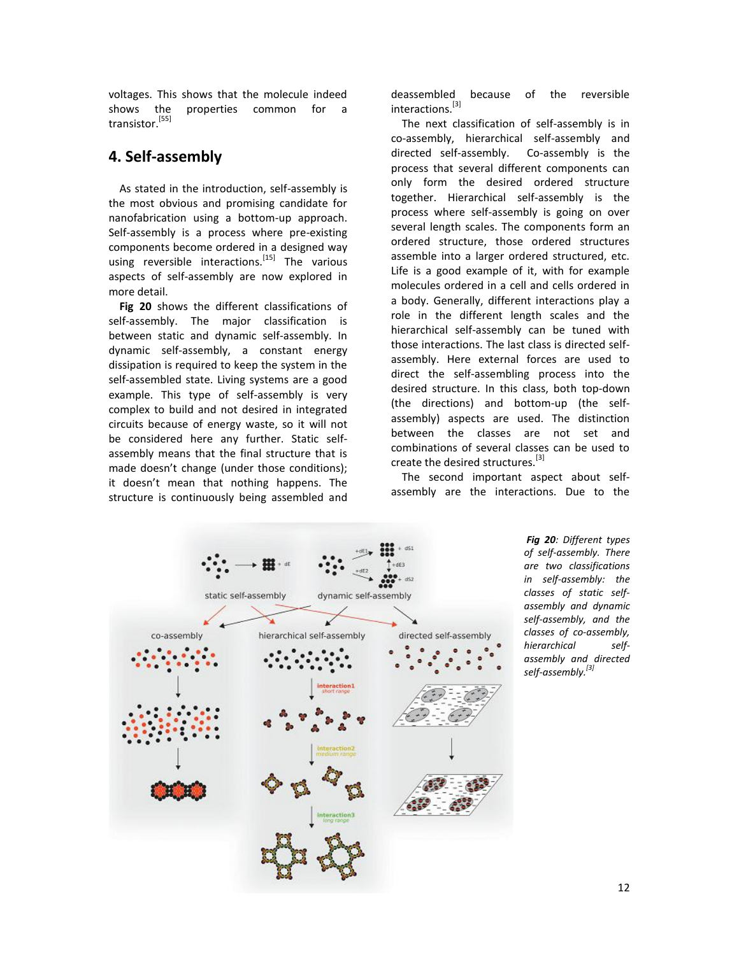voltages. This shows that the molecule indeed shows the properties common for a transistor.[55]

## **4. Self-assembly**

As stated in the introduction, self-assembly is the most obvious and promising candidate for nanofabrication using a bottom-up approach. Self-assembly is a process where pre-existing components become ordered in a designed way using reversible interactions.<sup>[15]</sup> The various aspects of self-assembly are now explored in more detail.

**Fig 20** shows the different classifications of self-assembly. The major classification is between static and dynamic self-assembly. In dynamic self-assembly, a constant energy dissipation is required to keep the system in the self-assembled state. Living systems are a good example. This type of self-assembly is very complex to build and not desired in integrated circuits because of energy waste, so it will not be considered here any further. Static selfassembly means that the final structure that is made doesn't change (under those conditions); it doesn't mean that nothing happens. The structure is continuously being assembled and

deassembled because of the reversible interactions.[3]

The next classification of self-assembly is in co-assembly, hierarchical self-assembly and directed self-assembly. Co-assembly is the process that several different components can only form the desired ordered structure together. Hierarchical self-assembly is the process where self-assembly is going on over several length scales. The components form an ordered structure, those ordered structures assemble into a larger ordered structured, etc. Life is a good example of it, with for example molecules ordered in a cell and cells ordered in a body. Generally, different interactions play a role in the different length scales and the hierarchical self-assembly can be tuned with those interactions. The last class is directed selfassembly. Here external forces are used to direct the self-assembling process into the desired structure. In this class, both top-down (the directions) and bottom-up (the selfassembly) aspects are used. The distinction between the classes are not set and combinations of several classes can be used to create the desired structures.<sup>[3]</sup>

The second important aspect about selfassembly are the interactions. Due to the



*Fig 20: Different types of self-assembly. There are two classifications in self-assembly: the classes of static selfassembly and dynamic self-assembly, and the classes of co-assembly, hierarchical selfassembly and directed self-assembly.[3]*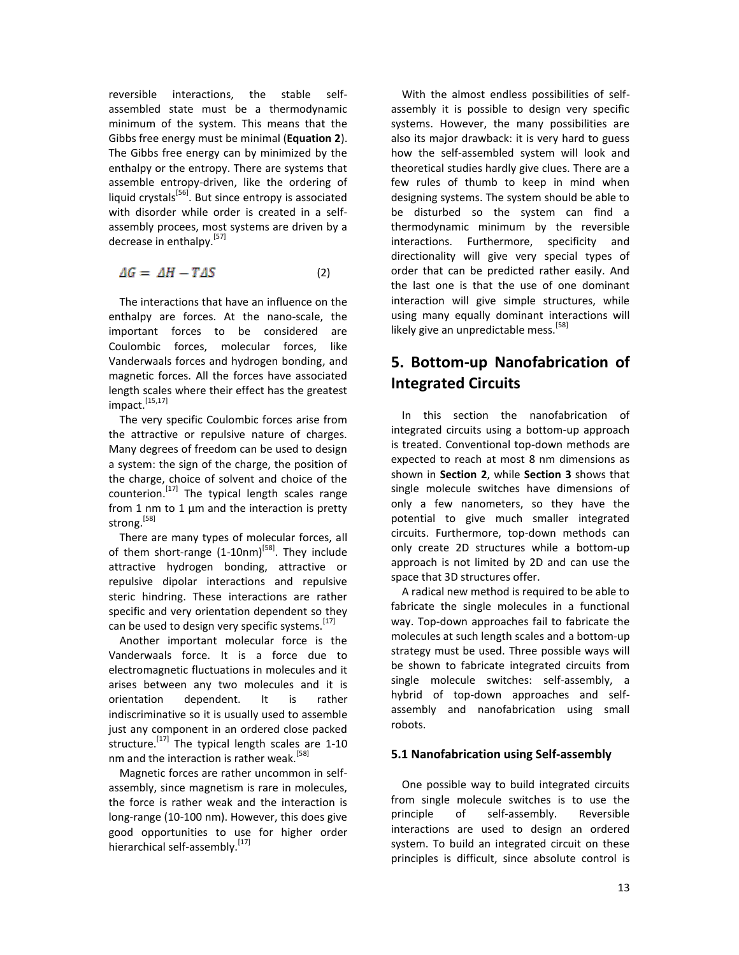reversible interactions, the stable selfassembled state must be a thermodynamic minimum of the system. This means that the Gibbs free energy must be minimal (**Equation 2**). The Gibbs free energy can by minimized by the enthalpy or the entropy. There are systems that assemble entropy-driven, like the ordering of liquid crystals<sup>[56]</sup>. But since entropy is associated with disorder while order is created in a selfassembly procees, most systems are driven by a decrease in enthalpy.<sup>[57]</sup>

$$
\Delta G = \Delta H - T \Delta S \tag{2}
$$

The interactions that have an influence on the enthalpy are forces. At the nano-scale, the important forces to be considered are Coulombic forces, molecular forces, like Vanderwaals forces and hydrogen bonding, and magnetic forces. All the forces have associated length scales where their effect has the greatest impact. [15,17]

The very specific Coulombic forces arise from the attractive or repulsive nature of charges. Many degrees of freedom can be used to design a system: the sign of the charge, the position of the charge, choice of solvent and choice of the counterion.<sup>[17]</sup> The typical length scales range from 1 nm to 1 μm and the interaction is pretty strong.<sup>[58]</sup>

There are many types of molecular forces, all of them short-range (1-10nm)<sup>[58]</sup>. They include attractive hydrogen bonding, attractive or repulsive dipolar interactions and repulsive steric hindring. These interactions are rather specific and very orientation dependent so they can be used to design very specific systems.<sup>[17]</sup>

Another important molecular force is the Vanderwaals force. It is a force due to electromagnetic fluctuations in molecules and it arises between any two molecules and it is orientation dependent. It is rather indiscriminative so it is usually used to assemble just any component in an ordered close packed structure.<sup>[17]</sup> The typical length scales are 1-10 nm and the interaction is rather weak.<sup>[58]</sup>

Magnetic forces are rather uncommon in selfassembly, since magnetism is rare in molecules, the force is rather weak and the interaction is long-range (10-100 nm). However, this does give good opportunities to use for higher order hierarchical self-assembly.<sup>[17]</sup>

With the almost endless possibilities of selfassembly it is possible to design very specific systems. However, the many possibilities are also its major drawback: it is very hard to guess how the self-assembled system will look and theoretical studies hardly give clues. There are a few rules of thumb to keep in mind when designing systems. The system should be able to be disturbed so the system can find a thermodynamic minimum by the reversible interactions. Furthermore, specificity and directionality will give very special types of order that can be predicted rather easily. And the last one is that the use of one dominant interaction will give simple structures, while using many equally dominant interactions will likely give an unpredictable mess.<sup>[58]</sup>

# **5. Bottom-up Nanofabrication of Integrated Circuits**

In this section the nanofabrication of integrated circuits using a bottom-up approach is treated. Conventional top-down methods are expected to reach at most 8 nm dimensions as shown in **Section 2**, while **Section 3** shows that single molecule switches have dimensions of only a few nanometers, so they have the potential to give much smaller integrated circuits. Furthermore, top-down methods can only create 2D structures while a bottom-up approach is not limited by 2D and can use the space that 3D structures offer.

A radical new method is required to be able to fabricate the single molecules in a functional way. Top-down approaches fail to fabricate the molecules at such length scales and a bottom-up strategy must be used. Three possible ways will be shown to fabricate integrated circuits from single molecule switches: self-assembly, a hybrid of top-down approaches and selfassembly and nanofabrication using small robots.

#### **5.1 Nanofabrication using Self-assembly**

One possible way to build integrated circuits from single molecule switches is to use the principle of self-assembly. Reversible interactions are used to design an ordered system. To build an integrated circuit on these principles is difficult, since absolute control is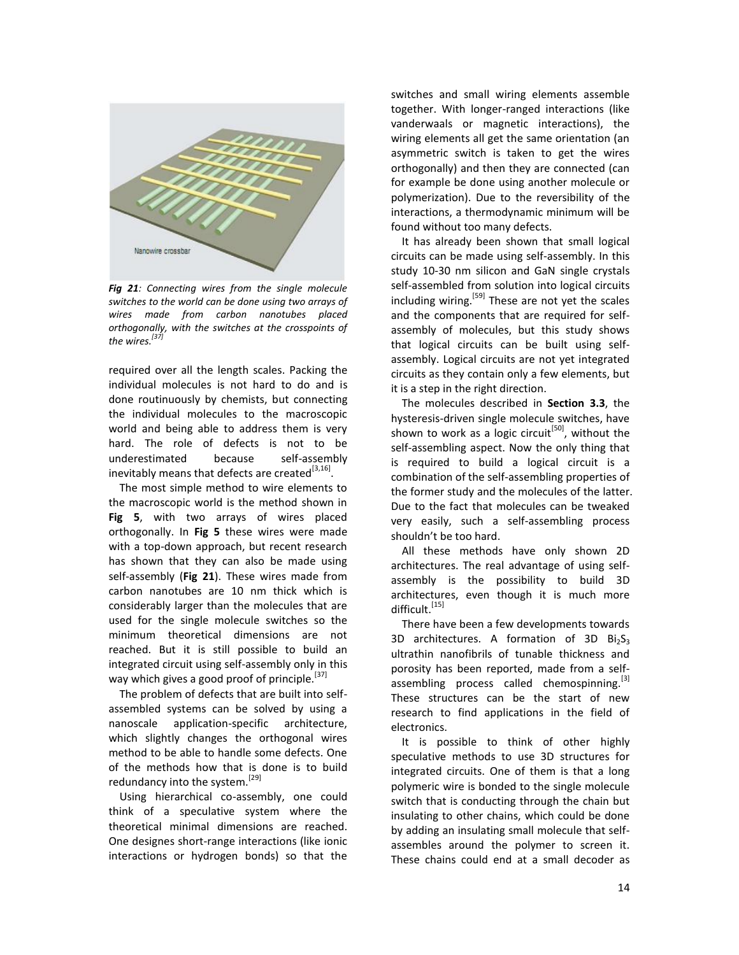

*Fig 21: Connecting wires from the single molecule switches to the world can be done using two arrays of wires made from carbon nanotubes placed orthogonally, with the switches at the crosspoints of the wires.[37]*

required over all the length scales. Packing the individual molecules is not hard to do and is done routinuously by chemists, but connecting the individual molecules to the macroscopic world and being able to address them is very hard. The role of defects is not to be underestimated because self-assembly inevitably means that defects are created  $^{[3,16]}$ .

The most simple method to wire elements to the macroscopic world is the method shown in **Fig 5**, with two arrays of wires placed orthogonally. In **Fig 5** these wires were made with a top-down approach, but recent research has shown that they can also be made using self-assembly (**Fig 21**). These wires made from carbon nanotubes are 10 nm thick which is considerably larger than the molecules that are used for the single molecule switches so the minimum theoretical dimensions are not reached. But it is still possible to build an integrated circuit using self-assembly only in this way which gives a good proof of principle.<sup>[37]</sup>

The problem of defects that are built into selfassembled systems can be solved by using a nanoscale application-specific architecture, which slightly changes the orthogonal wires method to be able to handle some defects. One of the methods how that is done is to build redundancy into the system.<sup>[29]</sup>

Using hierarchical co-assembly, one could think of a speculative system where the theoretical minimal dimensions are reached. One designes short-range interactions (like ionic interactions or hydrogen bonds) so that the

switches and small wiring elements assemble together. With longer-ranged interactions (like vanderwaals or magnetic interactions), the wiring elements all get the same orientation (an asymmetric switch is taken to get the wires orthogonally) and then they are connected (can for example be done using another molecule or polymerization). Due to the reversibility of the interactions, a thermodynamic minimum will be found without too many defects.

It has already been shown that small logical circuits can be made using self-assembly. In this study 10-30 nm silicon and GaN single crystals self-assembled from solution into logical circuits including wiring.<sup>[59]</sup> These are not yet the scales and the components that are required for selfassembly of molecules, but this study shows that logical circuits can be built using selfassembly. Logical circuits are not yet integrated circuits as they contain only a few elements, but it is a step in the right direction.

The molecules described in **Section 3.3**, the hysteresis-driven single molecule switches, have shown to work as a logic circuit<sup>[50]</sup>, without the self-assembling aspect. Now the only thing that is required to build a logical circuit is a combination of the self-assembling properties of the former study and the molecules of the latter. Due to the fact that molecules can be tweaked very easily, such a self-assembling process shouldn't be too hard.

All these methods have only shown 2D architectures. The real advantage of using selfassembly is the possibility to build 3D architectures, even though it is much more difficult.<sup>[15]</sup>

There have been a few developments towards 3D architectures. A formation of 3D  $Bi<sub>2</sub>S<sub>3</sub>$ ultrathin nanofibrils of tunable thickness and porosity has been reported, made from a selfassembling process called chemospinning. $[3]$ These structures can be the start of new research to find applications in the field of electronics.

It is possible to think of other highly speculative methods to use 3D structures for integrated circuits. One of them is that a long polymeric wire is bonded to the single molecule switch that is conducting through the chain but insulating to other chains, which could be done by adding an insulating small molecule that selfassembles around the polymer to screen it. These chains could end at a small decoder as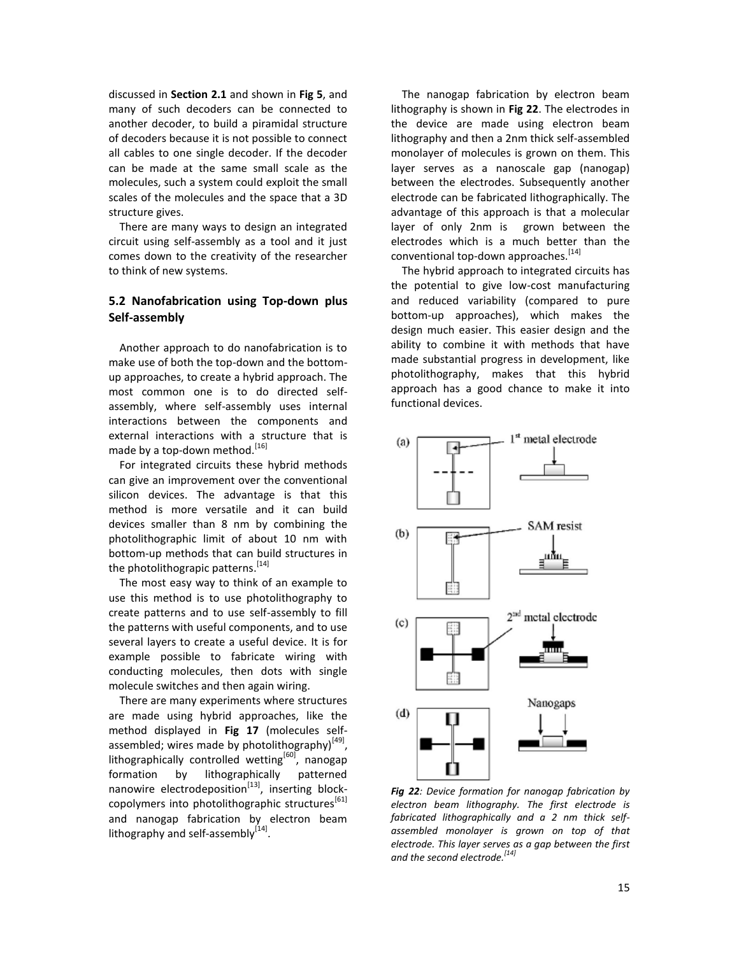discussed in **Section 2.1** and shown in **Fig 5**, and many of such decoders can be connected to another decoder, to build a piramidal structure of decoders because it is not possible to connect all cables to one single decoder. If the decoder can be made at the same small scale as the molecules, such a system could exploit the small scales of the molecules and the space that a 3D structure gives.

There are many ways to design an integrated circuit using self-assembly as a tool and it just comes down to the creativity of the researcher to think of new systems.

### **5.2 Nanofabrication using Top-down plus Self-assembly**

Another approach to do nanofabrication is to make use of both the top-down and the bottomup approaches, to create a hybrid approach. The most common one is to do directed selfassembly, where self-assembly uses internal interactions between the components and external interactions with a structure that is made by a top-down method.<sup>[16]</sup>

For integrated circuits these hybrid methods can give an improvement over the conventional silicon devices. The advantage is that this method is more versatile and it can build devices smaller than 8 nm by combining the photolithographic limit of about 10 nm with bottom-up methods that can build structures in the photolithograpic patterns.<sup>[14]</sup>

The most easy way to think of an example to use this method is to use photolithography to create patterns and to use self-assembly to fill the patterns with useful components, and to use several layers to create a useful device. It is for example possible to fabricate wiring with conducting molecules, then dots with single molecule switches and then again wiring.

There are many experiments where structures are made using hybrid approaches, like the method displayed in **Fig 17** (molecules selfassembled; wires made by photolithography)<sup>[49]</sup>, lithographically controlled wetting<sup>[60]</sup>, nanogap formation by lithographically patterned nanowire electrodeposition<sup>[13]</sup>, inserting blockcopolymers into photolithographic structures<sup>[61]</sup> and nanogap fabrication by electron beam lithography and self-assembly $^{[14]}$ .

The nanogap fabrication by electron beam lithography is shown in **Fig 22**. The electrodes in the device are made using electron beam lithography and then a 2nm thick self-assembled monolayer of molecules is grown on them. This layer serves as a nanoscale gap (nanogap) between the electrodes. Subsequently another electrode can be fabricated lithographically. The advantage of this approach is that a molecular layer of only 2nm is grown between the electrodes which is a much better than the conventional top-down approaches.<sup>[14]</sup>

The hybrid approach to integrated circuits has the potential to give low-cost manufacturing and reduced variability (compared to pure bottom-up approaches), which makes the design much easier. This easier design and the ability to combine it with methods that have made substantial progress in development, like photolithography, makes that this hybrid approach has a good chance to make it into functional devices.



*Fig 22: Device formation for nanogap fabrication by electron beam lithography. The first electrode is fabricated lithographically and a 2 nm thick selfassembled monolayer is grown on top of that electrode. This layer serves as a gap between the first and the second electrode.[14]*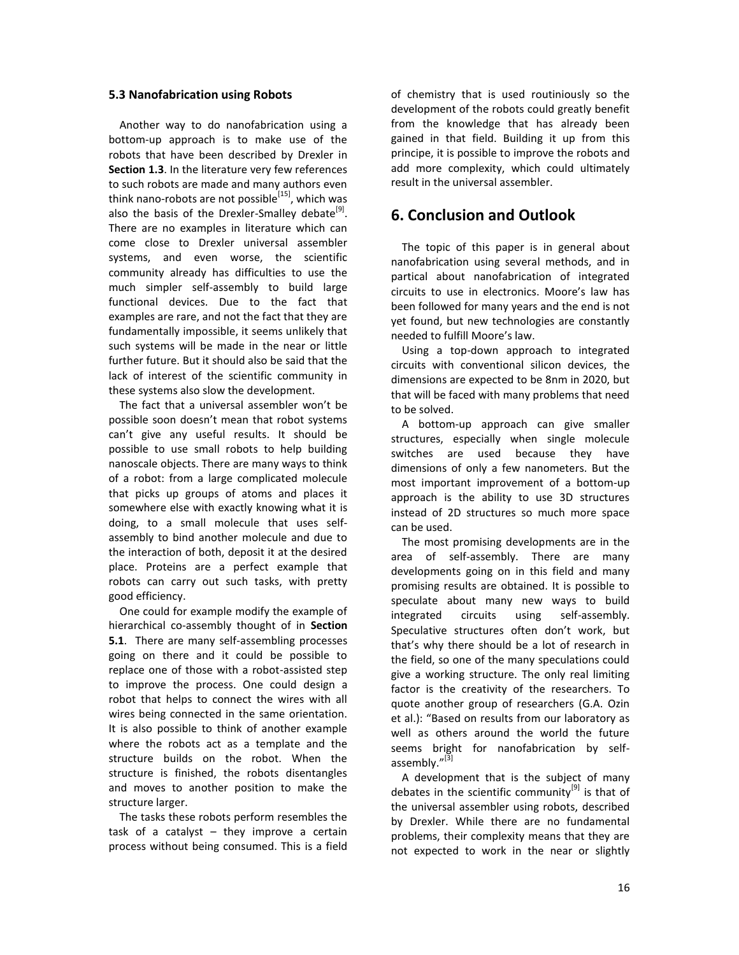#### **5.3 Nanofabrication using Robots**

Another way to do nanofabrication using a bottom-up approach is to make use of the robots that have been described by Drexler in **Section 1.3**. In the literature very few references to such robots are made and many authors even think nano-robots are not possible<sup>[15]</sup>, which was also the basis of the Drexler-Smalley debate<sup>[9]</sup>. There are no examples in literature which can come close to Drexler universal assembler systems, and even worse, the scientific community already has difficulties to use the much simpler self-assembly to build large functional devices. Due to the fact that examples are rare, and not the fact that they are fundamentally impossible, it seems unlikely that such systems will be made in the near or little further future. But it should also be said that the lack of interest of the scientific community in these systems also slow the development.

The fact that a universal assembler won't be possible soon doesn't mean that robot systems can't give any useful results. It should be possible to use small robots to help building nanoscale objects. There are many ways to think of a robot: from a large complicated molecule that picks up groups of atoms and places it somewhere else with exactly knowing what it is doing, to a small molecule that uses selfassembly to bind another molecule and due to the interaction of both, deposit it at the desired place. Proteins are a perfect example that robots can carry out such tasks, with pretty good efficiency.

One could for example modify the example of hierarchical co-assembly thought of in **Section 5.1**. There are many self-assembling processes going on there and it could be possible to replace one of those with a robot-assisted step to improve the process. One could design a robot that helps to connect the wires with all wires being connected in the same orientation. It is also possible to think of another example where the robots act as a template and the structure builds on the robot. When the structure is finished, the robots disentangles and moves to another position to make the structure larger.

The tasks these robots perform resembles the task of a catalyst  $-$  they improve a certain process without being consumed. This is a field

of chemistry that is used routiniously so the development of the robots could greatly benefit from the knowledge that has already been gained in that field. Building it up from this principe, it is possible to improve the robots and add more complexity, which could ultimately result in the universal assembler.

## **6. Conclusion and Outlook**

The topic of this paper is in general about nanofabrication using several methods, and in partical about nanofabrication of integrated circuits to use in electronics. Moore's law has been followed for many years and the end is not yet found, but new technologies are constantly needed to fulfill Moore's law.

Using a top-down approach to integrated circuits with conventional silicon devices, the dimensions are expected to be 8nm in 2020, but that will be faced with many problems that need to be solved.

A bottom-up approach can give smaller structures, especially when single molecule switches are used because they have dimensions of only a few nanometers. But the most important improvement of a bottom-up approach is the ability to use 3D structures instead of 2D structures so much more space can be used.

The most promising developments are in the area of self-assembly. There are many developments going on in this field and many promising results are obtained. It is possible to speculate about many new ways to build integrated circuits using self-assembly. Speculative structures often don't work, but that's why there should be a lot of research in the field, so one of the many speculations could give a working structure. The only real limiting factor is the creativity of the researchers. To quote another group of researchers (G.A. Ozin et al.): "Based on results from our laboratory as well as others around the world the future seems bright for nanofabrication by selfassembly."<sup>[3]</sup>

A development that is the subject of many debates in the scientific community<sup>[9]</sup> is that of the universal assembler using robots, described by Drexler. While there are no fundamental problems, their complexity means that they are not expected to work in the near or slightly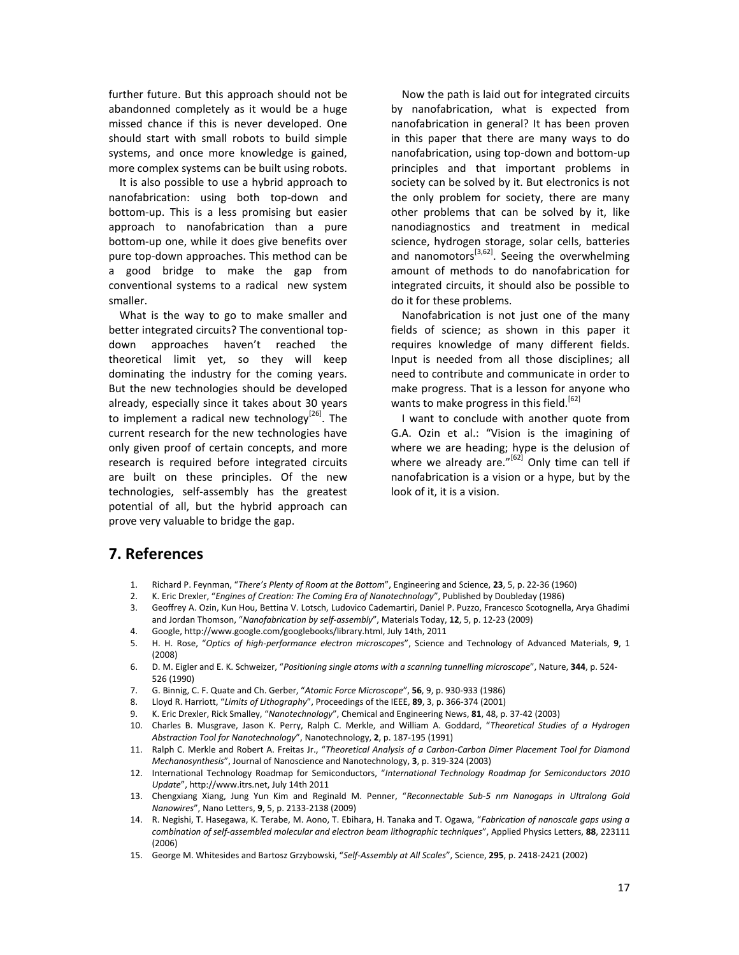further future. But this approach should not be abandonned completely as it would be a huge missed chance if this is never developed. One should start with small robots to build simple systems, and once more knowledge is gained, more complex systems can be built using robots.

It is also possible to use a hybrid approach to nanofabrication: using both top-down and bottom-up. This is a less promising but easier approach to nanofabrication than a pure bottom-up one, while it does give benefits over pure top-down approaches. This method can be a good bridge to make the gap from conventional systems to a radical new system smaller.

What is the way to go to make smaller and better integrated circuits? The conventional topdown approaches haven't reached the theoretical limit yet, so they will keep dominating the industry for the coming years. But the new technologies should be developed already, especially since it takes about 30 years to implement a radical new technology<sup>[26]</sup>. The current research for the new technologies have only given proof of certain concepts, and more research is required before integrated circuits are built on these principles. Of the new technologies, self-assembly has the greatest potential of all, but the hybrid approach can prove very valuable to bridge the gap.

Now the path is laid out for integrated circuits by nanofabrication, what is expected from nanofabrication in general? It has been proven in this paper that there are many ways to do nanofabrication, using top-down and bottom-up principles and that important problems in society can be solved by it. But electronics is not the only problem for society, there are many other problems that can be solved by it, like nanodiagnostics and treatment in medical science, hydrogen storage, solar cells, batteries and nanomotors<sup>[3,62]</sup>. Seeing the overwhelming amount of methods to do nanofabrication for integrated circuits, it should also be possible to do it for these problems.

Nanofabrication is not just one of the many fields of science; as shown in this paper it requires knowledge of many different fields. Input is needed from all those disciplines; all need to contribute and communicate in order to make progress. That is a lesson for anyone who wants to make progress in this field.<sup>[62]</sup>

I want to conclude with another quote from G.A. Ozin et al.: "Vision is the imagining of where we are heading; hype is the delusion of where we already are. $v^{[62]}$  Only time can tell if nanofabrication is a vision or a hype, but by the look of it, it is a vision.

## **7. References**

- 1. Richard P. Feynman, "*There's Plenty of Room at the Bottom*", Engineering and Science, **23**, 5, p. 22-36 (1960)
- 2. K. Eric Drexler, "*Engines of Creation: The Coming Era of Nanotechnology*", Published by Doubleday (1986)
- 3. Geoffrey A. Ozin, Kun Hou, Bettina V. Lotsch, Ludovico Cademartiri, Daniel P. Puzzo, Francesco Scotognella, Arya Ghadimi and Jordan Thomson, "*Nanofabrication by self-assembly*", Materials Today, **12**, 5, p. 12-23 (2009)
- 4. Google, http://www.google.com/googlebooks/library.html, July 14th, 2011
- 5. H. H. Rose, "*Optics of high-performance electron microscopes*", Science and Technology of Advanced Materials, **9**, 1 (2008)
- 6. D. M. Eigler and E. K. Schweizer, "*Positioning single atoms with a scanning tunnelling microscope*", Nature, **344**, p. 524- 526 (1990)
- 7. G. Binnig, C. F. Quate and Ch. Gerber, "*Atomic Force Microscope*", **56**, 9, p. 930-933 (1986)
- 8. Lloyd R. Harriott, "*Limits of Lithography*", Proceedings of the IEEE, **89**, 3, p. 366-374 (2001)
- 9. K. Eric Drexler, Rick Smalley, "*Nanotechnology*", Chemical and Engineering News, **81**, 48, p. 37-42 (2003)
- 10. Charles B. Musgrave, Jason K. Perry, Ralph C. Merkle, and William A. Goddard, "*Theoretical Studies of a Hydrogen Abstraction Tool for Nanotechnology*", Nanotechnology, **2**, p. 187-195 (1991)
- 11. Ralph C. Merkle and Robert A. Freitas Jr., "*Theoretical Analysis of a Carbon-Carbon Dimer Placement Tool for Diamond Mechanosynthesis*", Journal of Nanoscience and Nanotechnology, **3**, p. 319-324 (2003)
- 12. International Technology Roadmap for Semiconductors, "*International Technology Roadmap for Semiconductors 2010 Update*", http://www.itrs.net, July 14th 2011
- 13. Chengxiang Xiang, Jung Yun Kim and Reginald M. Penner, "*Reconnectable Sub-5 nm Nanogaps in Ultralong Gold Nanowires*", Nano Letters, **9**, 5, p. 2133-2138 (2009)
- 14. R. Negishi, T. Hasegawa, K. Terabe, M. Aono, T. Ebihara, H. Tanaka and T. Ogawa, "*Fabrication of nanoscale gaps using a combination of self-assembled molecular and electron beam lithographic techniques*", Applied Physics Letters, **88**, 223111 (2006)
- 15. George M. Whitesides and Bartosz Grzybowski, "*Self-Assembly at All Scales*", Science, **295**, p. 2418-2421 (2002)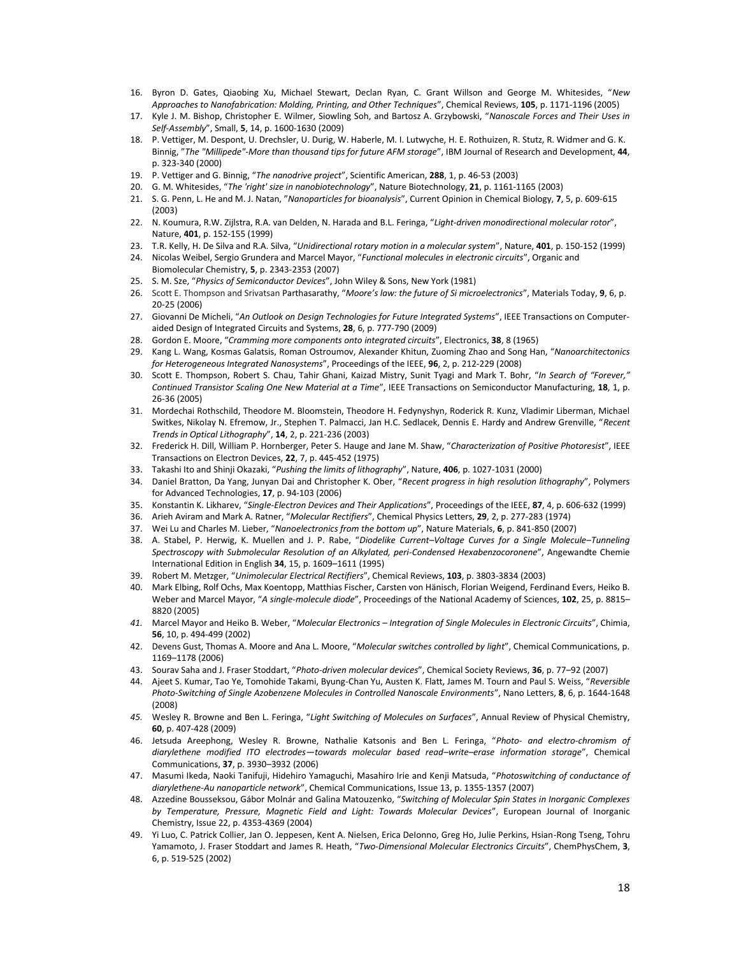- 16. Byron D. Gates, Qiaobing Xu, Michael Stewart, Declan Ryan, C. Grant Willson and George M. Whitesides, "*New Approaches to Nanofabrication: Molding, Printing, and Other Techniques*", Chemical Reviews, **105**, p. 1171-1196 (2005)
- 17. Kyle J. M. Bishop, Christopher E. Wilmer, Siowling Soh, and Bartosz A. Grzybowski, "*Nanoscale Forces and Their Uses in Self-Assembly*", Small, **5**, 14, p. 1600-1630 (2009)
- 18. P. Vettiger, M. Despont, U. Drechsler, U. Durig, W. Haberle, M. I. Lutwyche, H. E. Rothuizen, R. Stutz, R. Widmer and G. K. Binnig, "*The "Millipede"-More than thousand tips for future AFM storage*", IBM Journal of Research and Development, **44**, p. 323-340 (2000)
- 19. P. Vettiger and G. Binnig, "*The nanodrive project*", Scientific American, **288**, 1, p. 46-53 (2003)
- 20. G. M. Whitesides, "*The 'right' size in nanobiotechnology*", Nature Biotechnology, **21**, p. 1161-1165 (2003)
- 21. S. G. Penn, L. He and M. J. Natan, "*Nanoparticles for bioanalysis*", Current Opinion in Chemical Biology, **7**, 5, p. 609-615 (2003)
- 22. N. Koumura, R.W. Zijlstra, R.A. van Delden, N. Harada and B.L. Feringa, "*Light-driven monodirectional molecular rotor*", Nature, **401**, p. 152-155 (1999)
- 23. T.R. Kelly, H. De Silva and R.A. Silva, "*Unidirectional rotary motion in a molecular system*", Nature, **401**, p. 150-152 (1999)
- 24. Nicolas Weibel, Sergio Grundera and Marcel Mayor, "*Functional molecules in electronic circuits*", Organic and Biomolecular Chemistry, **5**, p. 2343-2353 (2007)
- 25. S. M. Sze, "*Physics of Semiconductor Devices*", John Wiley & Sons, New York (1981)
- 26. Scott E. Thompson and Srivatsan Parthasarathy, "*Moore's law: the future of Si microelectronics*", Materials Today, **9**, 6, p. 20-25 (2006)
- 27. Giovanni De Micheli, "*An Outlook on Design Technologies for Future Integrated Systems*", IEEE Transactions on Computeraided Design of Integrated Circuits and Systems, **28**, 6, p. 777-790 (2009)
- 28. Gordon E. Moore, "*Cramming more components onto integrated circuits*", Electronics, **38**, 8 (1965)
- 29. Kang L. Wang, Kosmas Galatsis, Roman Ostroumov, Alexander Khitun, Zuoming Zhao and Song Han, "*Nanoarchitectonics for Heterogeneous Integrated Nanosystems*", Proceedings of the IEEE, **96**, 2, p. 212-229 (2008)
- 30. Scott E. Thompson, Robert S. Chau, Tahir Ghani, Kaizad Mistry, Sunit Tyagi and Mark T. Bohr, "*In Search of "Forever," Continued Transistor Scaling One New Material at a Time*", IEEE Transactions on Semiconductor Manufacturing, **18**, 1, p. 26-36 (2005)
- 31. Mordechai Rothschild, Theodore M. Bloomstein, Theodore H. Fedynyshyn, Roderick R. Kunz, Vladimir Liberman, Michael Switkes, Nikolay N. Efremow, Jr., Stephen T. Palmacci, Jan H.C. Sedlacek, Dennis E. Hardy and Andrew Grenville, "*Recent Trends in Optical Lithography*", **14**, 2, p. 221-236 (2003)
- 32. Frederick H. Dill, William P. Hornberger, Peter S. Hauge and Jane M. Shaw, "*Characterization of Positive Photoresist*", IEEE Transactions on Electron Devices, **22**, 7, p. 445-452 (1975)
- 33. Takashi Ito and Shinji Okazaki, "*Pushing the limits of lithography*", Nature, **406**, p. 1027-1031 (2000)
- 34. Daniel Bratton, Da Yang, Junyan Dai and Christopher K. Ober, "*Recent progress in high resolution lithography*", Polymers for Advanced Technologies, **17**, p. 94-103 (2006)
- 35. Konstantin K. Likharev, "*Single-Electron Devices and Their Applications*", Proceedings of the IEEE, **87**, 4, p. 606-632 (1999)
- 36. Arieh Aviram and Mark A. Ratner, "*Molecular Rectifiers*", Chemical Physics Letters, **29**, 2, p. 277-283 (1974)
- 37. Wei Lu and Charles M. Lieber, "*Nanoelectronics from the bottom up*", Nature Materials, **6**, p. 841-850 (2007)
- 38. A. Stabel, P. Herwig, K. Muellen and J. P. Rabe, "*Diodelike Current–Voltage Curves for a Single Molecule–Tunneling Spectroscopy with Submolecular Resolution of an Alkylated, peri-Condensed Hexabenzocoronene*", Angewandte Chemie International Edition in English **34**, 15, p. 1609–1611 (1995)
- 39. Robert M. Metzger, "*Unimolecular Electrical Rectifiers*", Chemical Reviews, **103**, p. 3803-3834 (2003)
- 40. Mark Elbing, Rolf Ochs, Max Koentopp, Matthias Fischer, Carsten von Hänisch, Florian Weigend, Ferdinand Evers, Heiko B. Weber and Marcel Mayor, "*A single-molecule diode*", Proceedings of the National Academy of Sciences, **102**, 25, p. 8815– 8820 (2005)
- *41.* Marcel Mayor and Heiko B. Weber, "*Molecular Electronics – Integration of Single Molecules in Electronic Circuits*", Chimia, **56**, 10, p. 494-499 (2002)
- 42. Devens Gust, Thomas A. Moore and Ana L. Moore, "*Molecular switches controlled by light*", Chemical Communications, p. 1169–1178 (2006)
- 43. Sourav Saha and J. Fraser Stoddart, "*Photo-driven molecular devices*", Chemical Society Reviews, **36**, p. 77–92 (2007)
- 44. Ajeet S. Kumar, Tao Ye, Tomohide Takami, Byung-Chan Yu, Austen K. Flatt, James M. Tourn and Paul S. Weiss, "*Reversible Photo-Switching of Single Azobenzene Molecules in Controlled Nanoscale Environments*", Nano Letters, **8**, 6, p. 1644-1648 (2008)
- *45.* Wesley R. Browne and Ben L. Feringa, "*Light Switching of Molecules on Surfaces*", Annual Review of Physical Chemistry, **60**, p. 407-428 (2009)
- 46. Jetsuda Areephong, Wesley R. Browne, Nathalie Katsonis and Ben L. Feringa, "*Photo- and electro-chromism of diarylethene modified ITO electrodes—towards molecular based read–write–erase information storage*", Chemical Communications, **37**, p. 3930–3932 (2006)
- 47. Masumi Ikeda, Naoki Tanifuji, Hidehiro Yamaguchi, Masahiro Irie and Kenji Matsuda, "*Photoswitching of conductance of diarylethene-Au nanoparticle network*", Chemical Communications, Issue 13, p. 1355-1357 (2007)
- 48. Azzedine Bousseksou, Gábor Molnár and Galina Matouzenko, "*Switching of Molecular Spin States in Inorganic Complexes by Temperature, Pressure, Magnetic Field and Light: Towards Molecular Devices*", European Journal of Inorganic Chemistry, Issue 22, p. 4353-4369 (2004)
- 49. Yi Luo, C. Patrick Collier, Jan O. Jeppesen, Kent A. Nielsen, Erica DeIonno, Greg Ho, Julie Perkins, Hsian-Rong Tseng, Tohru Yamamoto, J. Fraser Stoddart and James R. Heath, "*Two-Dimensional Molecular Electronics Circuits*", ChemPhysChem, **3**, 6, p. 519-525 (2002)